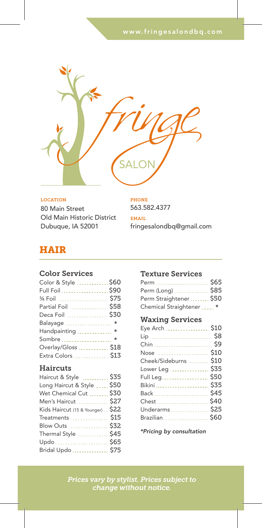

80 Main Street Old Main Historic District Dubuque, IA 52001 **LOCATION** 

563.582.4377 PHONE

fringesalondbq@gmail.com EMAIL

## HAIR

#### Color Services

| Color & Style  \$60 |  |
|---------------------|--|
| Full Foil  \$90     |  |
| 3⁄4 Foil  \$75      |  |
| Partial Foil  \$58  |  |
| Deca Foil \$30      |  |
| Balayage  *         |  |
| Handpainting  *     |  |
| Sombre  *           |  |
| Overlay/Gloss  \$18 |  |
| Extra Colors \$13   |  |

#### **Haircuts**

| Haircut & Style  \$35               |
|-------------------------------------|
| Long Haircut & Style \$50           |
| Wet Chemical Cut  \$30              |
| Men's Haircut  \$27                 |
| Kids Haircut (15 & Younger) __ \$22 |
| Treatments  \$15                    |
| Blow Outs  \$32                     |
| Thermal Style  \$45                 |
| Updo  \$65                          |
| Bridal Updo  \$75                   |
|                                     |

#### Texture Services

| Perm                    | \$65 |
|-------------------------|------|
| Perm (Long)             | \$85 |
| Perm Straightener  \$50 |      |
| Chemical Straightener   | *    |

### Waxing Services

| Eye Arch \$10         |  |
|-----------------------|--|
| Lip  \$8              |  |
| Chin  \$9             |  |
| Nose  \$10            |  |
| Cheek/Sideburns  \$10 |  |
| Lower Leg  \$35       |  |
| Full Leg \$50         |  |
| Bikini \$35           |  |
| Back  \$45            |  |
| Chest\$40             |  |
| Underarms  \$25       |  |
| Brazilian \$60        |  |
|                       |  |

*\*Pricing by consultation*

*Prices vary by stylist. Prices subject to change without notice.*